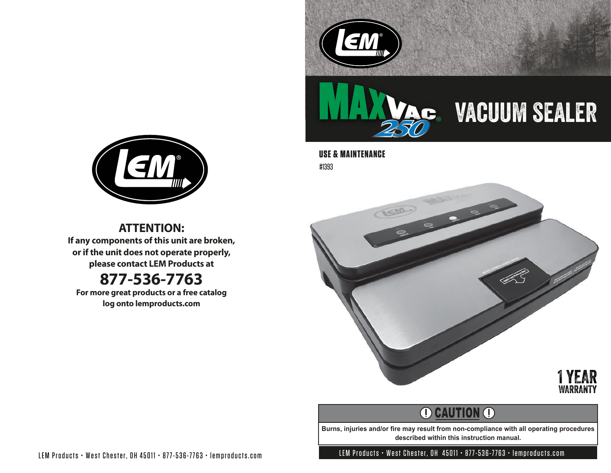



# vacuum sealer

**USE & MAINTENANCE** #1393



**ATTENTION:**

**If any components of this unit are broken, or if the unit does not operate properly, please contact LEM Products at**

### **877-536-7763**

**For more great products or a free catalog log onto lemproducts.com**



## **O CAUTION O**

**Burns, injuries and/or fire may result from non-compliance with all operating procedures described within this instruction manual.**

LEM Products • West Chester, OH 45011 • 877-536-7763 • lemproducts.com LEM Products • West Chester, OH 45011 • 877-536-7763 • lemproducts.com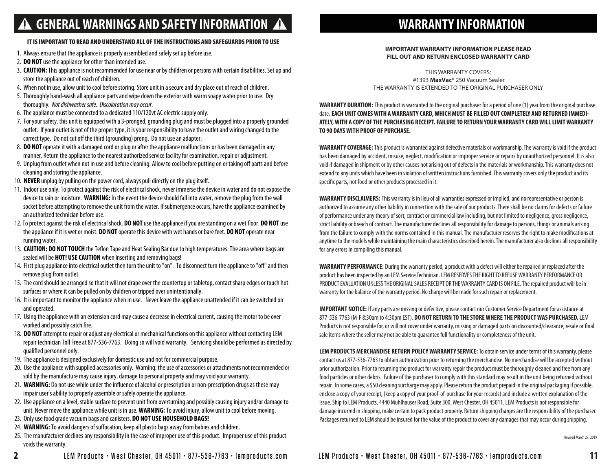### **GENERAL WARNINGS AND SAFETY INFORMATION**

#### IT IS IMPORTANT TO READ AND UNDERSTAND ALL OF THE INSTRUCTIONS AND SAFEGUARDS PRIOR TO USE

- 1. Always ensure that the appliance is properly assembled and safely set up before use.
- 2. **DO NOT** use the appliance for other than intended use.
- 3. **CAUTION:** This appliance is not recommended for use near or by children or persons with certain disabilities. Set up and store the appliance out of reach of children.
- 4. When not in use, allow unit to cool before storing. Store unit in a secure and dry place out of reach of children.
- 5. Thoroughly hand-wash all appliance parts and wipe down the exterior with warm soapy water prior to use. Dry thoroughly. *Not dishwasher safe. Discoloration may occur.*
- 6. The appliance must be connected to a dedicated 110/120vt AC electric supply only.
- 7. For your safety, this unit is equipped with a 3-pronged, grounding plug and must be plugged into a properly grounded outlet. If your outlet is not of the proper type, it is your responsibility to have the outlet and wiring changed to the correct type. Do not cut off the third (grounding) prong. Do not use an adapter.
- 8. **DO NOT** operate it with a damaged cord or plug or after the appliance malfunctions or has been damaged in any manner. Return the appliance to the nearest authorized service facility for examination, repair or adjustment.
- 9. Unplug from outlet when not in use and before cleaning. Allow to cool before putting on or taking off parts and before cleaning and storing the appliance.
- 10. **NEVER** unplug by pulling on the power cord, always pull directly on the plug itself.
- 11. Indoor use only. To protect against the risk of electrical shock, never immerse the device in water and do not expose the device to rain or moisture. **WARNING:** In the event the device should fall into water, remove the plug from the wall socket before attempting to remove the unit from the water. If submergence occurs, have the appliance examined by an authorized technician before use.
- 12. To protect against the risk of electrical shock, **DO NOT** use the appliance if you are standing on a wet floor. **DO NOT** use the appliance if it is wet or moist. **DO NOT** operate this device with wet hands or bare feet. **DO NOT** operate near running water.
- 13. **CAUTION: DO NOT TOUCH** the Teflon Tape and Heat Sealing Bar due to high temperatures. The area where bags are sealed will be **HOT! USE CAUTION** when inserting and removing bags!
- 14. First plug appliance into electrical outlet then turn the unit to "on". To disconnect turn the appliance to "off" and then remove plug from outlet.
- 15. The cord should be arranged so that it will not drape over the countertop or tabletop, contact sharp edges or touch hot surfaces or where it can be pulled on by children or tripped over unintentionally.
- 16. It is important to monitor the appliance when in use. Never leave the appliance unattended if it can be switched on and operated.
- 17. Using the appliance with an extension cord may cause a decrease in electrical current, causing the motor to be over worked and possibly catch fire.
- 18. **DO NOT** attempt to repair or adjust any electrical or mechanical functions on this appliance without contacting LEM repair technician Toll Free at 877-536-7763. Doing so will void warranty. Servicing should be performed as directed by qualified personnel only.
- 19. The appliance is designed exclusively for domestic use and not for commercial purpose.
- 20. Use the appliance with supplied accessories only. Warning: the use of accessories or attachments not recommended or sold by the manufacture may cause injury, damage to personal property and may void your warranty.
- 21. WARNING: Do not use while under the influence of alcohol or prescription or non-prescription drugs as these may impair user's ability to properly assemble or safely operate the appliance.
- 22. Use appliance on a level, stable surface to prevent unit from overturning and possibly causing injury and/or damage to unit. Never move the appliance while unit is in use. **WARNING:** To avoid injury, allow unit to cool before moving.
- 23. Only use food grade vacuum bags and canisters. **DO NOT USE HOUSEHOLD BAGS!**
- 24. **WARNING:** To avoid dangers of suffocation, keep all plastic bags away from babies and children.
- 25. The manufacturer declines any responsibility in the case of improper use of this product. Improper use of this product voids the warranty.

### **WARRANTY INFORMATION**

#### **IMPORTANT WARRANTY INFORMATION PLEASE READ FILL OUT AND RETURN ENCLOSED WARRANTY CARD**

THIS WARRANTY COVERS: #1393 **MaxVac®** 250 Vacuum Sealer THE WARRANTY IS EXTENDED TO THE ORIGINAL PURCHASER ONLY

**WARRANTY DURATION:** This product is warranted to the original purchaser for a period of one (1) year from the original purchase date. **EACH UNIT COMES WITH A WARRANTY CARD, WHICH MUST BE FILLED OUT COMPLETELY AND RETURNED IMMEDI-ATELY, WITH A COPY OF THE PURCHASING RECEIPT. FAILURE TO RETURN YOUR WARRANTY CARD WILL LIMIT WARRANTY TO 90 DAYS WITH PROOF OF PURCHASE.**

**WARRANTY COVERAGE:**This product is warranted against defective materials or workmanship. The warranty is void if the product has been damaged by accident, misuse, neglect, modification or improper service or repairs by unauthorized personnel. It is also void if damaged in shipment or by other causes not arising out of defects in the materials or workmanship. This warranty does not extend to any units which have been in violation of written instructions furnished. This warranty covers only the product and its specific parts, not food or other products processed in it.

**WARRANTY DISCLAIMERS:** This warranty is in lieu of all warranties expressed or implied, and no representative or person is authorized to assume any other liability in connection with the sale of our products. There shall be no claims for defects or failure of performance under any theory of sort, contract or commercial law including, but not limited to negligence, gross negligence, strict liability or breach of contract. The manufacturer declines all responsibility for damage to persons, things or animals arising from the failure to comply with the norms contained in this manual. The manufacturer reserves the right to make modifications at anytime to the models while maintaining the main characteristics described herein. The manufacturer also declines all responsibility for any errors in compiling this manual.

**WARRANTY PERFORMANCE:** During the warranty period, a product with a defect will either be repaired or replaced after the product has been inspected by an LEM Service Technician. LEM RESERVES THE RIGHT TO REFUSE WARRANTY PERFORMANCE OR PRODUCT EVALUATION UNLESS THE ORIGINAL SALES RECEIPT OR THE WARRANTY CARD IS ON FILE.The repaired product will be in warranty for the balance of the warranty period. No charge will be made for such repair or replacement.

**IMPORTANT NOTICE:** If any parts are missing or defective, please contact our Customer Service Department for assistance at 877-536-7763 (M-F 8:30am to 4:30pm EST). **DO NOT RETURN TO THE STORE WHERE THE PRODUCT WAS PURCHASED.** LEM Products is not responsible for, or will not cover under warranty, missing or damaged parts on discounted/clearance, resale or nal sale items where the seller may not be able to guarantee full functionality or completeness of the unit.

**LEM PRODUCTS MERCHANDISE RETURN POLICY WARRANTY SERVICE:** To obtain service under terms of this warranty, please contact us at 877-536-7763 to obtain authorization prior to returning the merchandise. No merchandise will be accepted without prior authorization. Prior to returning the product for warranty repair the product must be thoroughly cleaned and free from any food particles or other debris. Failure of the purchaser to comply with this standard may result in the unit being returned without repair. In some cases, a \$50 cleaning surcharge may apply. Please return the product prepaid in the original packaging if possible, enclose a copy of your receipt, (keep a copy of your proof-of-purchase for your records) and include a written explanation of the issue. Ship to LEM Products, 4440 Muhlhauser Road, Suite 300, West Chester, OH 45011. LEM Products is not responsible for damage incurred in shipping, make certain to pack product properly. Return shipping charges are the responsibility of the purchaser. Packages returned to LEM should be insured for the value of the product to cover any damages that may occur during shipping.

Revised March 27, 2019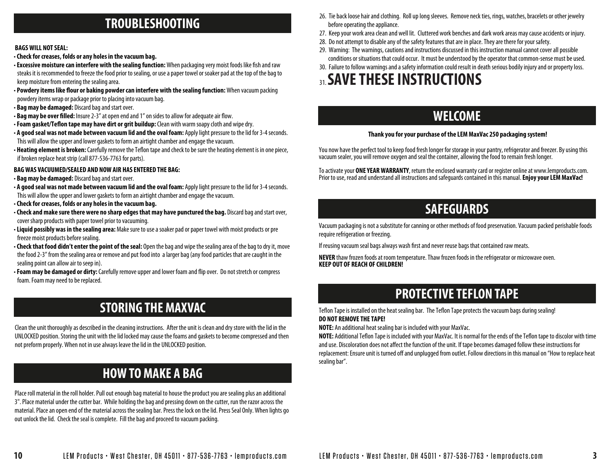### **TROUBLESHOOTING**

#### **BAGS WILL NOT SEAL:**

- •**Check for creases, folds or any holes in the vacuum bag.**
- Excessive moisture can interfere with the sealing function: When packaging very moist foods like fish and raw steaks it is recommended to freeze the food prior to sealing, or use a paper towel or soaker pad at the top of the bag to keep moisture from entering the sealing area.
- Powdery items like flour or baking powder can interfere with the sealing function: When vacuum packing powdery items wrap or package prior to placing into vacuum bag.
- **Bag may be damaged:** Discard bag and start over.
- Bag may be over filled: Insure 2-3" at open end and 1" on sides to allow for adequate air flow.
- Foam gasket/Teflon tape may have dirt or grit buildup: Clean with warm soapy cloth and wipe dry.
- **A good seal was not made between vacuum lid and the oval foam:** Apply light pressure to the lid for 3-4 seconds. This will allow the upper and lower gaskets to form an airtight chamber and engage the vacuum.
- Heating element is broken: Carefully remove the Teflon tape and check to be sure the heating element is in one piece, if broken replace heat strip (call 877-536-7763 for parts).

#### **BAG WAS VACUUMED/SEALED AND NOW AIR HAS ENTERED THE BAG:**

- **Bag may be damaged:** Discard bag and start over.
- **A good seal was not made between vacuum lid and the oval foam:** Apply light pressure to the lid for 3-4 seconds. This will allow the upper and lower gaskets to form an airtight chamber and engage the vacuum.
- •**Check for creases, folds or any holes in the vacuum bag.**
- •**Check and make sure there were no sharp edges that may have punctured the bag.** Discard bag and start over, cover sharp products with paper towel prior to vacuuming.
- •**Liquid possibly was in the sealing area:** Make sure to use a soaker pad or paper towel with moist products or pre freeze moist products before sealing.
- •**Check that food didn't enter the point of the seal:** Open the bag and wipe the sealing area of the bag to dry it, move the food 2-3" from the sealing area or remove and put food into a larger bag (any food particles that are caught in the sealing point can allow air to seep in).
- •**Foam may be damaged or dirty:** Carefully remove upper and lower foam and ip over. Do not stretch or compress foam. Foam may need to be replaced.

### **STORING THE MAXVAC**

Clean the unit thoroughly as described in the cleaning instructions. After the unit is clean and dry store with the lid in the UNLOCKED position. Storing the unit with the lid locked may cause the foams and gaskets to become compressed and then not preform properly. When not in use always leave the lid in the UNLOCKED position.

### **HOW TO MAKE A BAG**

Place roll material in the roll holder. Pull out enough bag material to house the product you are sealing plus an additional 3". Place material under the cutter bar. While holding the bag and pressing down on the cutter, run the razor across the material. Place an open end of the material across the sealing bar. Press the lock on the lid. Press Seal Only. When lights go out unlock the lid. Check the seal is complete. Fill the bag and proceed to vacuum packing.

- 26. Tie back loose hair and clothing. Roll up long sleeves. Remove neck ties, rings, watches, bracelets or other jewelry before operating the appliance.
- 27. Keep your work area clean and well lit. Cluttered work benches and dark work areas may cause accidents or injury.
- 28. Do not attempt to disable any of the safety features that are in place. They are there for your safety.
- 29. Warning: The warnings, cautions and instructions discussed in this instruction manual cannot cover all possible conditions or situations that could occur. It must be understood by the operator that common-sense must be used.
- 30. Failure to follow warnings and a safety information could result in death serious bodily injury and or property loss.

## 31. **SAVE THESE INSTRUCTIONS**

### **WELCOME**

#### **Thank you for your purchase of the LEM MaxVac 250 packaging system!**

You now have the perfect tool to keep food fresh longer for storage in your pantry, refrigerator and freezer. By using this vacuum sealer, you will remove oxygen and seal the container, allowing the food to remain fresh longer.

To activate your **ONE YEAR WARRANTY**, return the enclosed warranty card or register online at www.lemproducts.com. Prior to use, read and understand all instructions and safeguards contained in this manual. **Enjoy your LEM MaxVac!**

### **SAFEGUARDS**

Vacuum packaging is not a substitute for canning or other methods of food preservation. Vacuum packed perishable foods require refrigeration or freezing.

If reusing vacuum seal bags always wash first and never reuse bags that contained raw meats.

**NEVER** thaw frozen foods at room temperature. Thaw frozen foods in the refrigerator or microwave oven. **KEEP OUT OF REACH OF CHILDREN!**

### **PROTECTIVE TEFLON TAPE**

Teflon Tape is installed on the heat sealing bar. The Teflon Tape protects the vacuum bags during sealing! **DO NOT REMOVE THE TAPE!**

**NOTE:** An additional heat sealing bar is included with your MaxVac.

**NOTE:** Additional Teflon Tape is included with your MaxVac. It is normal for the ends of the Teflon tape to discolor with time and use. Discoloration does not affect the function of the unit. If tape becomes damaged follow these instructions for replacement: Ensure unit is turned off and unplugged from outlet. Follow directions in this manual on "How to replace heat sealing bar".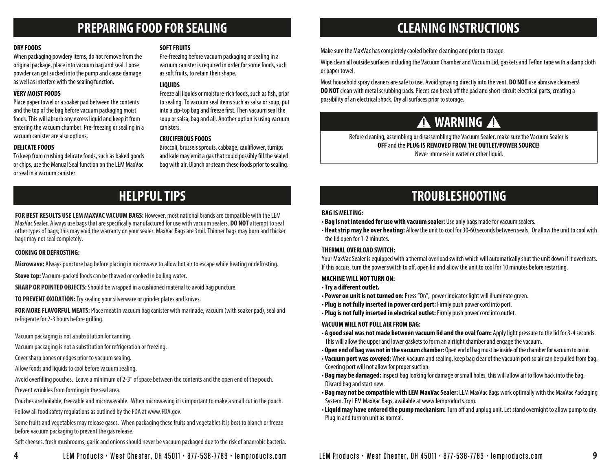### **PREPARING FOOD FOR SEALING CLEANING INSTRUCTIONS**

#### **DRY FOODS**

When packaging powdery items, do not remove from the original package, place into vacuum bag and seal. Loose powder can get sucked into the pump and cause damage as well as interfere with the sealing function.

#### **VERY MOIST FOODS**

Place paper towel or a soaker pad between the contents and the top of the bag before vacuum packaging moist foods. This will absorb any excess liquid and keep it from entering the vacuum chamber. Pre-freezing or sealing in a vacuum canister are also options.

#### **DELICATE FOODS**

To keep from crushing delicate foods, such as baked goods or chips, use the Manual Seal function on the LEM MaxVac or seal in a vacuum canister.

#### **SOFT FRUITS**

Pre-freezing before vacuum packaging or sealing in a vacuum canister is required in order for some foods, such as soft fruits, to retain their shape.

#### **LIQUIDS**

Freeze all liquids or moisture-rich foods, such as fish, prior to sealing. To vacuum seal items such as salsa or soup, put into a zip-top bag and freeze first. Then vacuum seal the soup or salsa, bag and all. Another option is using vacuum canisters.

#### **CRUCIFEROUS FOODS**

Broccoli, brussels sprouts, cabbage, cauliflower, turnips and kale may emit a gas that could possibly fill the sealed bag with air. Blanch or steam these foods prior to sealing.

### **HELPFUL TIPS**

**FOR BEST RESULTS USE LEM MAXVAC VACUUM BAGS:** However, most national brands are compatible with the LEM MaxVac Sealer. Always use bags that are specically manufactured for use with vacuum sealers. **DO NOT** attempt to seal other types of bags; this may void the warranty on your sealer. MaxVac Bags are 3mil. Thinner bags may burn and thicker bags may not seal completely.

#### **COOKING OR DEFROSTING:**

**Microwave:** Always puncture bag before placing in microwave to allow hot air to escape while heating or defrosting.

**Stove top:** Vacuum-packed foods can be thawed or cooked in boiling water.

**SHARP OR POINTED OBJECTS:** Should be wrapped in a cushioned material to avoid bag puncture.

**TO PREVENT OXIDATION:**Try sealing your silverware or grinder plates and knives.

**FOR MORE FLAVORFUL MEATS:** Place meat in vacuum bag canister with marinade, vacuum (with soaker pad), seal and refrigerate for 2-3 hours before grilling.

Vacuum packaging is not a substitution for canning.

Vacuum packaging is not a substitution for refrigeration or freezing.

Cover sharp bones or edges prior to vacuum sealing.

Allow foods and liquids to cool before vacuum sealing.

Avoid overlling pouches. Leave a minimum of 2-3" of space between the contents and the open end of the pouch.

Prevent wrinkles from forming in the seal area.

Pouches are boilable, freezable and microwavable. When microwaving it is important to make a small cut in the pouch.

Follow all food safety regulations as outlined by the FDA at www.FDA.gov.

Some fruits and vegetables may release gases. When packaging these fruits and vegetables it is best to blanch or freeze before vacuum packaging to prevent the gas release.

Soft cheeses, fresh mushrooms, garlic and onions should never be vacuum packaged due to the risk of anaerobic bacteria.

Make sure the MaxVac has completely cooled before cleaning and prior to storage.

Wipe clean all outside surfaces including the Vacuum Chamber and Vacuum Lid, gaskets and Teflon tape with a damp cloth or paper towel.

Most household spray cleaners are safe to use. Avoid spraying directly into the vent. **DO NOT** use abrasive cleansers! **DO NOT** clean with metal scrubbing pads. Pieces can break off the pad and short-circuit electrical parts, creating a possibility of an electrical shock. Dry all surfaces prior to storage.

## **A** WARNING **A**

Before cleaning, assembling or disassembling the Vacuum Sealer, make sure the Vacuum Sealer is **OFF** and the **PLUG IS REMOVED FROM THE OUTLET/POWER SOURCE!** Never immerse in water or other liquid.

### **TROUBLESHOOTING**

#### **BAG IS MELTING:**

- **Bag is not intended for use with vacuum sealer:** Use only bags made for vacuum sealers.
- **Heat strip may be over heating:** Allow the unit to cool for 30-60 seconds between seals. Or allow the unit to cool with the lid open for 1-2 minutes.

### **THERMAL OVERLOAD SWITCH:**

Your MaxVac Sealer is equipped with a thermal overload switch which will automatically shut the unit down if it overheats. If this occurs, turn the power switch to off, open lid and allow the unit to cool for 10 minutes before restarting.

### **MACHINE WILL NOT TURN ON:**

- $\cdot$  Try a different outlet.
- **Power on unit is not turned on:** Press "On", power indicator light will illuminate green.
- **Plug is not fully inserted in power cord port:** Firmly push power cord into port.
- **Plug is not fully inserted in electrical outlet:** Firmly push power cord into outlet.

### **VACUUM WILL NOT PULL AIR FROM BAG:**

- **A good seal was not made between vacuum lid and the oval foam:** Apply light pressure to the lid for 3-4 seconds. This will allow the upper and lower gaskets to form an airtight chamber and engage the vacuum.
- **Open end of bag was not in the vacuum chamber:** Open end of bag must be inside of the chamber for vacuum to occur.
- **Vacuum port was covered:** When vacuum and sealing, keep bag clear of the vacuum port so air can be pulled from bag. Covering port will not allow for proper suction.
- Bag may be damaged: Inspect bag looking for damage or small holes, this will allow air to flow back into the bag. Discard bag and start new.
- **Bag may not be compatible with LEM MaxVac Sealer:** LEM MaxVac Bags work optimally with the MaxVac Packaging System. Try LEM MaxVac Bags, available at www.lemproducts.com.
- Liquid may have entered the pump mechanism: Turn off and unplug unit. Let stand overnight to allow pump to dry. Plug in and turn on unit as normal.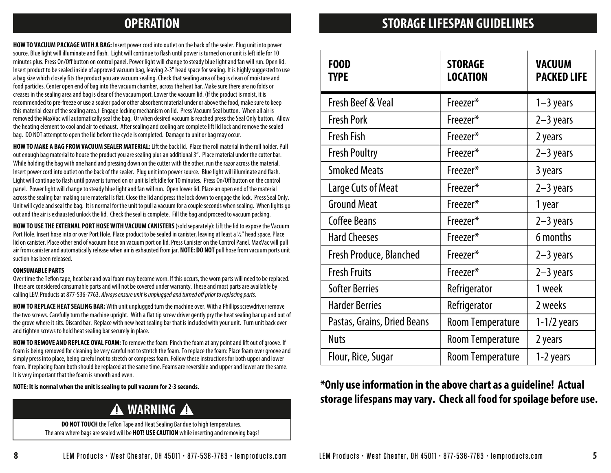**HOW TO VACUUM PACKAGE WITH A BAG:** Insert power cord into outlet on the back of the sealer. Plug unit into power source. Blue light will illuminate and flash. Light will continue to flash until power is turned on or unit is left idle for 10 minutes plus. Press On/Off button on control panel. Power light will change to steady blue light and fan will run. Open lid. Insert product to be sealed inside of approved vacuum bag, leaving 2-3" head space for sealing. It is highly suggested to use a bag size which closely fits the product you are vacuum sealing. Check that sealing area of bag is clean of moisture and food particles. Center open end of bag into the vacuum chamber, across the heat bar. Make sure there are no folds or creases in the sealing area and bag is clear of the vacuum port. Lower the vacuum lid. (If the product is moist, it is recommended to pre-freeze or use a soaker pad or other absorbent material under or above the food, make sure to keep this material clear of the sealing area.) Engage locking mechanism on lid. Press Vacuum Seal button. When all air is removed the MaxVac will automatically seal the bag. Or when desired vacuum is reached press the Seal Only button. Allow the heating element to cool and air to exhaust. After sealing and cooling are complete lift lid lock and remove the sealed bag. DO NOT attempt to open the lid before the cycle is completed. Damage to unit or bag may occur.

**HOW TO MAKE A BAG FROM VACUUM SEALER MATERIAL:**Lift the back lid. Place the roll material in the roll holder. Pull out enough bag material to house the product you are sealing plus an additional 3". Place material under the cutter bar. While holding the bag with one hand and pressing down on the cutter with the other, run the razor across the material. Insert power cord into outlet on the back of the sealer. Plug unit into power source. Blue light will illuminate and flash. Light will continue to flash until power is turned on or unit is left idle for 10 minutes. Press On/Off button on the control panel. Power light will change to steady blue light and fan will run. Open lower lid. Place an open end of the material across the sealing bar making sure material is flat. Close the lid and press the lock down to engage the lock. Press Seal Only. Unit will cycle and seal the bag. It is normal for the unit to pull a vacuum for a couple seconds when sealing. When lights go out and the air is exhausted unlock the lid. Check the seal is complete. Fill the bag and proceed to vacuum packing.

**HOW TO USE THE EXTERNAL PORT HOSE WITH VACUUM CANISTERS** (sold separately): Lift the lid to expose the Vacuum Port Hole. Insert hose into or over Port Hole. Place product to be sealed in canister, leaving at least a 1/2" head space. Place lid on canister. Place other end of vacuum hose on vacuum port on lid. Press Canister on the Control Panel. MaxVac will pull air from canister and automatically release when air is exhausted from jar. **NOTE: DO NOT** pull hose from vacuum ports unit suction has been released.

#### **CONSUMABLE PARTS**

Over time the Teflon tape, heat bar and oval foam may become worn. If this occurs, the worn parts will need to be replaced. These are considered consumable parts and will not be covered under warranty. These and most parts are available by calling LEM Products at 877-536-7763. Always ensure unit is unplugged and turned off prior to replacing parts.

**HOW TO REPLACE HEAT SEALING BAR:** With unit unplugged turn the machine over. With a Phillips screwdriver remove the two screws. Carefully turn the machine upright. With a flat tip screw driver gently pry the heat sealing bar up and out of the grove where it sits. Discard bar. Replace with new heat sealing bar that is included with your unit. Turn unit back over and tighten screws to hold heat sealing bar securely in place.

**HOW TO REMOVE AND REPLACE OVAL FOAM:** To remove the foam: Pinch the foam at any point and lift out of groove. If foam is being removed for cleaning be very careful not to stretch the foam. To replace the foam: Place foam over groove and simply press into place, being careful not to stretch or compress foam. Follow these instructions for both upper and lower foam. If replacing foam both should be replaced at the same time. Foams are reversible and upper and lower are the same. It is very important that the foam is smooth and even.

### **A** WARNING **A**

**DO NOT TOUCH** the Teflon Tape and Heat Sealing Bar due to high temperatures. The area where bags are sealed will be **HOT! USE CAUTION** while inserting and removing bags!

### **OPERATION STORAGE LIFESPAN GUIDELINES**

| <b>FOOD</b><br><b>TYPE</b>     | <b>STORAGE</b><br><b>LOCATION</b> | <b>VACUUM</b><br><b>PACKED LIFE</b> |
|--------------------------------|-----------------------------------|-------------------------------------|
| <b>Fresh Beef &amp; Veal</b>   | Freezer*                          | $1 - 3$ years                       |
| <b>Fresh Pork</b>              | Freezer*                          | $2-3$ years                         |
| <b>Fresh Fish</b>              | Freezer*                          | 2 years                             |
| <b>Fresh Poultry</b>           | Freezer*                          | $2-3$ years                         |
| <b>Smoked Meats</b>            | Freezer*                          | 3 years                             |
| Large Cuts of Meat             | Freezer*                          | $2-3$ years                         |
| <b>Ground Meat</b>             | Freezer*                          | 1 year                              |
| <b>Coffee Beans</b>            | Freezer*                          | $2-3$ years                         |
| <b>Hard Cheeses</b>            | Freezer*                          | 6 months                            |
| <b>Fresh Produce, Blanched</b> | Freezer*                          | $2-3$ years                         |
| <b>Fresh Fruits</b>            | Freezer*                          | $2-3$ years                         |
| <b>Softer Berries</b>          | Refrigerator                      | 1 week                              |
| <b>Harder Berries</b>          | Refrigerator                      | 2 weeks                             |
| Pastas, Grains, Dried Beans    | <b>Room Temperature</b>           | $1-1/2$ years                       |
| <b>Nuts</b>                    | <b>Room Temperature</b>           | 2 years                             |
| Flour, Rice, Sugar             | <b>Room Temperature</b>           | 1-2 years                           |

### **NOTE: It is normal when the unit is sealing to pull vacuum for 2-3 seconds. \*Only use information in the above chart as a guideline! Actual storage lifespans may vary. Check all food for spoilage before use.**